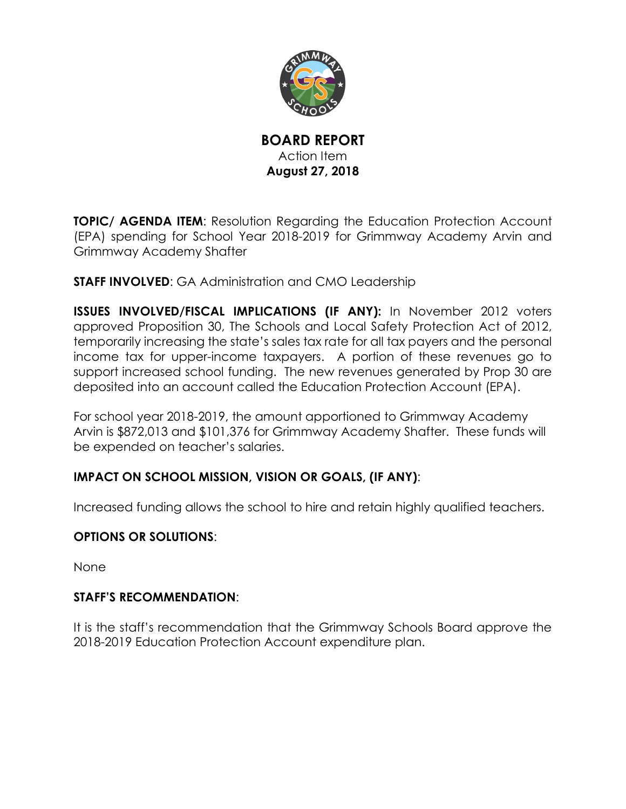

**BOARD REPORT** Action Item **August 27, 2018**

**TOPIC/ AGENDA ITEM:** Resolution Regarding the Education Protection Account (EPA) spending for School Year 2018-2019 for Grimmway Academy Arvin and Grimmway Academy Shafter

**STAFF INVOLVED**: GA Administration and CMO Leadership

**ISSUES INVOLVED/FISCAL IMPLICATIONS (IF ANY):** In November 2012 voters approved Proposition 30, The Schools and Local Safety Protection Act of 2012, temporarily increasing the state's sales tax rate for all tax payers and the personal income tax for upper-income taxpayers. A portion of these revenues go to support increased school funding. The new revenues generated by Prop 30 are deposited into an account called the Education Protection Account (EPA).

For school year 2018-2019, the amount apportioned to Grimmway Academy Arvin is \$872,013 and \$101,376 for Grimmway Academy Shafter. These funds will be expended on teacher's salaries.

# **IMPACT ON SCHOOL MISSION, VISION OR GOALS, (IF ANY)**:

Increased funding allows the school to hire and retain highly qualified teachers.

# **OPTIONS OR SOLUTIONS**:

None

# **STAFF'S RECOMMENDATION**:

It is the staff's recommendation that the Grimmway Schools Board approve the 2018-2019 Education Protection Account expenditure plan.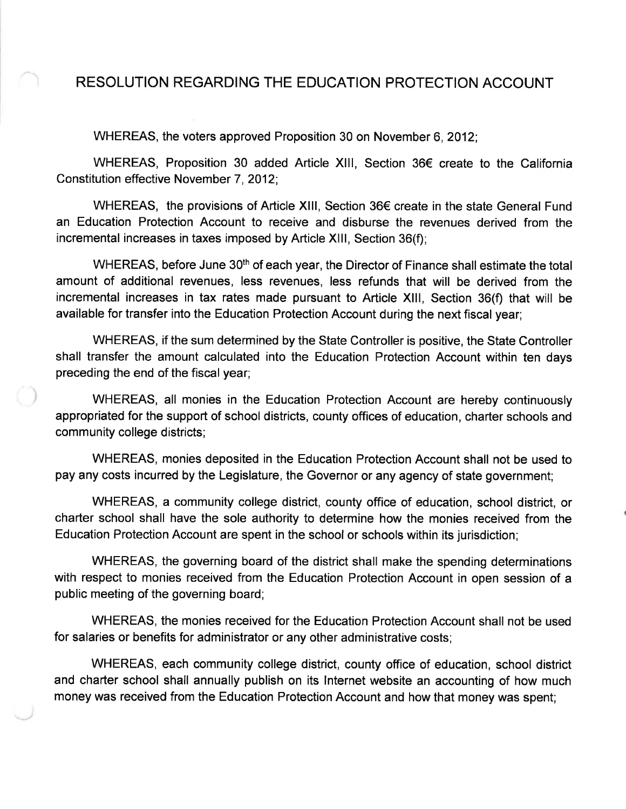# RESOLUTION REGARDING THE EDUCATION PROTECTION ACCOUNT

WHEREAS, the voters approved Proposition 30 on November 6, 2012;

WHEREAS, Proposition 30 added Article XIII, Section 36€ create to the California Constitution effective November 7, 2012;

WHEREAS, the provisions of Article XIII, Section 36€ create in the state General Fund an Education Protection Account to receive and disburse the revenues derived from the incremental increases in taxes imposed by Article XIII, Section 36(f);

WHEREAS, before June 30<sup>th</sup> of each year, the Director of Finance shall estimate the total amount of additional revenues, less revenues, less refunds that will be derived from the incremental increases in tax rates made pursuant to Article XIII, Section 36(f) that will be available for transfer into the Education Protection Account during the next fiscal year;

WHEREAS, if the sum determined by the State Controller is positive, the State Controller shall transfer the amount calculated into the Education Protection Account within ten days preceding the end of the fiscal year;

WHEREAS, all monies in the Education Protection Account are hereby continuously appropriated for the support of school districts, county offices of education, charter schools and community college districts;

WHEREAS, monies deposited in the Education Protection Account shall not be used to pay any costs incurred by the Legislature, the Governor or any agency of state government;

WHEREAS, a community college district, county office of education, school district, or charter school shall have the sole authority to determine how the monies received from the Education Protection Account are spent in the school or schools within its jurisdiction;

WHEREAS, the governing board of the district shall make the spending determinations with respect to monies received from the Education Protection Account in open session of a public meeting of the governing board;

WHEREAS, the monies received for the Education Protection Account shall not be used for salaries or benefits for administrator or any other administrative costs;

WHEREAS, each community college district, county office of education, school district and charter school shall annually publish on its Internet website an accounting of how much money was received from the Education Protection Account and how that money was spent;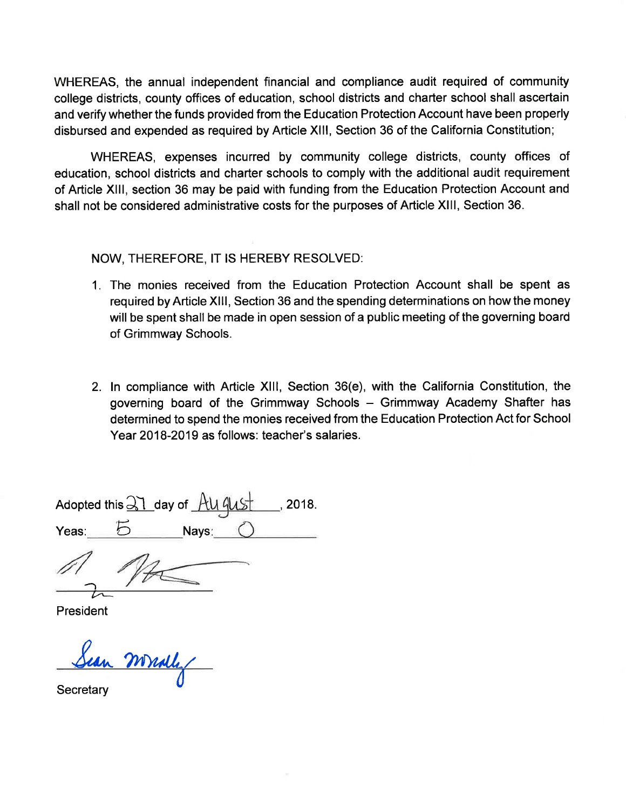WHEREAS, the annual independent financial and compliance audit required of community college districts, county offices of education, school districts and charter school shall ascertain and verify whether the funds provided from the Education Protection Account have been properly disbursed and expended as required by Article XIII, Section 36 of the California Constitution;

WHEREAS, expenses incurred by community college districts, county offices of education, school districts and charter schools to comply with the additional audit requirement of Article XIII, section 36 may be paid with funding from the Education Protection Account and shall not be considered administrative costs for the purposes of Article XIII, Section 36.

NOW, THEREFORE, IT IS HEREBY RESOLVED:

- 1. The monies received from the Education Protection Account shall be spent as required by Article XIII, Section 36 and the spending determinations on how the money will be spent shall be made in open session of a public meeting of the governing board of Grimmway Schools.
- 2. In compliance with Article XIII, Section 36(e), with the California Constitution, the governing board of the Grimmway Schools - Grimmway Academy Shafter has determined to spend the monies received from the Education Protection Act for School Year 2018-2019 as follows: teacher's salaries.

Adopted this  $\frac{21}{31}$  day of  $\frac{11}{41}$  $, 2018.$ Navs: Yeas:

President

mally

Secretary